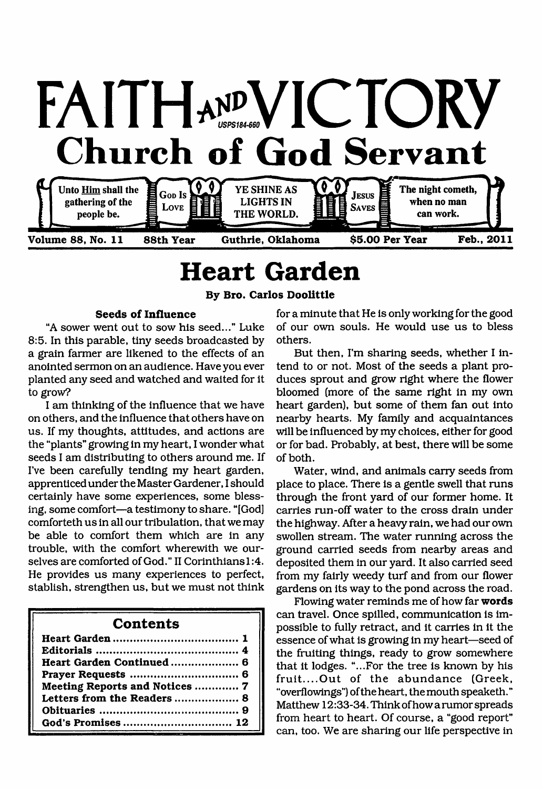

# <span id="page-0-0"></span>**Heart Garden**

**Volume 88, No. 11 88th Year Guthrie, Oklahoma \$5.00 Per Year Feb., 2011**

**By Bro. Carlos Doolittle**

### **Seeds of Influence**

"A sower went out to sow his seed..." Luke 8:5. In this parable, tiny seeds broadcasted by a grain farmer are likened to the effects of an anointed sermon on an audience. Have you ever planted any seed and watched and waited for it to grow?

I am thinking of the influence that we have on others, and the influence that others have on us. If my thoughts, attitudes, and actions are the "plants" growing in my heart, I wonder what seeds I am distributing to others around me. If I've been carefully tending my heart garden, apprenticed under the Master Gardener, I should certainly have some experiences, some blessing, some comfort—a testimony to share. "[God] comforteth us in all our tribulation, that we may be able to comfort them which are in any trouble, with the comfort wherewith we ourselves are comforted of God." II Corinthians 1:4. He provides us many experiences to perfect, stablish, strengthen us, but we must not think

## **Contents**

| Meeting Reports and Notices  7 |  |
|--------------------------------|--|
| Letters from the Readers  8    |  |
|                                |  |
|                                |  |

for a minute that He is only working for the good of our own souls. He would use us to bless others.

But then, I'm sharing seeds, whether I intend to or not. Most of the seeds a plant produces sprout and grow right where the flower bloomed (more of the same right in my own heart garden), but some of them fan out into nearby hearts. My family and acquaintances will be influenced by my choices, either for good or for bad. Probably, at best, there will be some of both.

Water, wind, and animals carry seeds from place to place. There is a gentle swell that runs through the front yard of our former home. It carries run-off water to the cross drain under the highway. After a heavy rain, we had our own swollen stream. The water running across the ground carried seeds from nearby areas and deposited them in our yard. It also carried seed from my fairly weedy turf and from our flower gardens on its way to the pond across the road.

Flowing water reminds me of how far **words** can travel. Once spilled, communication is impossible to fully retract, and it carries in it the essence of what is growing in my heart—seed of the fruiting things, ready to grow somewhere that it lodges. "...For the tree is known by his fruit....Out of the abundance (Greek, "overflowings") of the heart, the mouth speaketh." Matthew 12:33-34. Think ofhow a rumor spreads from heart to heart. Of course, a "good report" can, too. We are sharing our life perspective in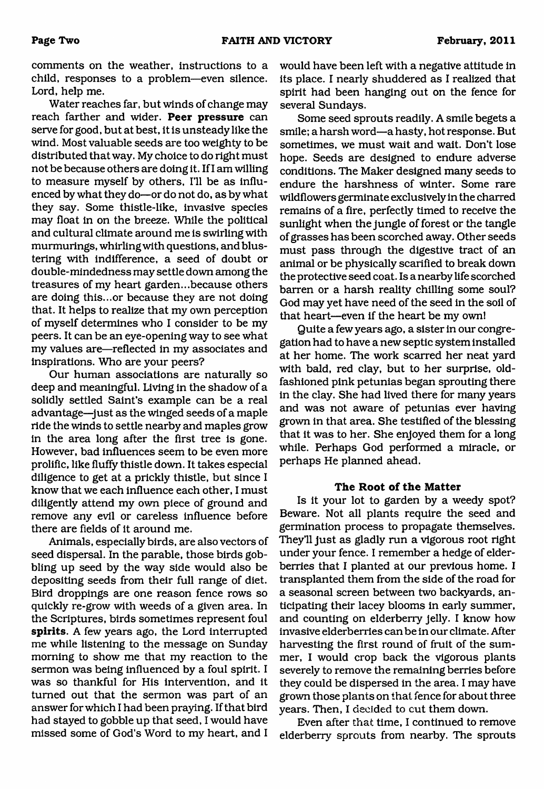comments on the weather, instructions to a child, responses to a problem—even silence. Lord, help me.

Water reaches far, but winds of change may reach farther and wider. **Peer pressure** can serve for good, but at best, it is unsteady like the wind. Most valuable seeds are too weighty to be distributed that way. My choice to do right must not be because others are doing it. If I am willing to measure myself by others, 111 be as influenced by what they do—or do not do, as by what they say. Some thistle-like, invasive species may float in on the breeze. While the political and cultural climate around me is swirling with murmurings, whirling with questions, and blustering with indifference, a seed of doubt or double-mindedness may settle down among the treasures of my heart garden...because others are doing this...or because they are not doing that. It helps to realize that my own perception of myself determines who I consider to be my peers. It can be an eye-opening way to see what my values are—reflected in my associates and inspirations. Who are your peers?

Our human associations are naturally so deep and meaningful. Living in the shadow of a solidly settled Saint's example can be a real advantage—just as the winged seeds of a maple ride the winds to settle nearby and maples grow in the area long after the first tree is gone. However, bad influences seem to be even more prolific, like fluffy thistle down. It takes especial diligence to get at a prickly thistle, but since I know that we each influence each other, I must diligently attend my own piece of ground and remove any evil or careless influence before there are fields of it around me.

Animals, especially birds, are also vectors of seed dispersal. In the parable, those birds gobbling up seed by the way side would also be depositing seeds from their full range of diet. Bird droppings are one reason fence rows so quickly re-grow with weeds of a given area. In the Scriptures, birds sometimes represent foul **spirits.** A few years ago, the Lord interrupted me while listening to the message on Sunday morning to show me that my reaction to the sermon was being influenced by a foul spirit. I was so thankful for His intervention, and it turned out that the sermon was part of an answer for which I had been praying. If that bird had stayed to gobble up that seed, I would have missed some of God's Word to my heart, and I would have been left with a negative attitude in its place. I nearly shuddered as I realized that spirit had been hanging out on the fence for several Sundays.

Some seed sprouts readily. A smile begets a smile; a harsh word—a hasty, hot response. But sometimes, we must wait and wait. Don't lose hope. Seeds are designed to endure adverse conditions. The Maker designed many seeds to endure the harshness of winter. Some rare wildflowers germinate exclusively in the charred remains of a fire, perfectly timed to receive the sunlight when the jungle of forest or the tangle of grasses has been scorched away. Other seeds must pass through the digestive tract of an animal or be physically scarified to break down the protective seed coat. Is a nearby life scorched barren or a harsh reality chilling some soul? God may yet have need of the seed in the soil of that heart—even if the heart be my own!

Quite a few years ago, a sister in our congregation had to have a new septic system installed at her home. The work scarred her neat yard with bald, red clay, but to her surprise, oldfashioned pink petunias began sprouting there in the clay. She had lived there for many years and was not aware of petunias ever having grown in that area. She testified of the blessing that it was to her. She enjoyed them for a long while. Perhaps God performed a miracle, or perhaps He planned ahead.

### **The Root of the Matter**

Is it your lot to garden by a weedy spot? Beware. Not all plants require the seed and germination process to propagate themselves. They'll just as gladly run a vigorous root right under your fence. I remember a hedge of elderberries that I planted at our previous home. I transplanted them from the side of the road for a seasonal screen between two backyards, anticipating their lacey blooms in early summer, and counting on elderberry jelly. I know how invasive elderberries can be in our climate. After harvesting the first round of fruit of the summer, I would crop back the vigorous plants severely to remove the remaining berries before they could be dispersed in the area. I may have grown those plants on that fence for about three years. Then, I decided to cut them down.

Even after that time, I continued to remove elderberry sprouts from nearby. The sprouts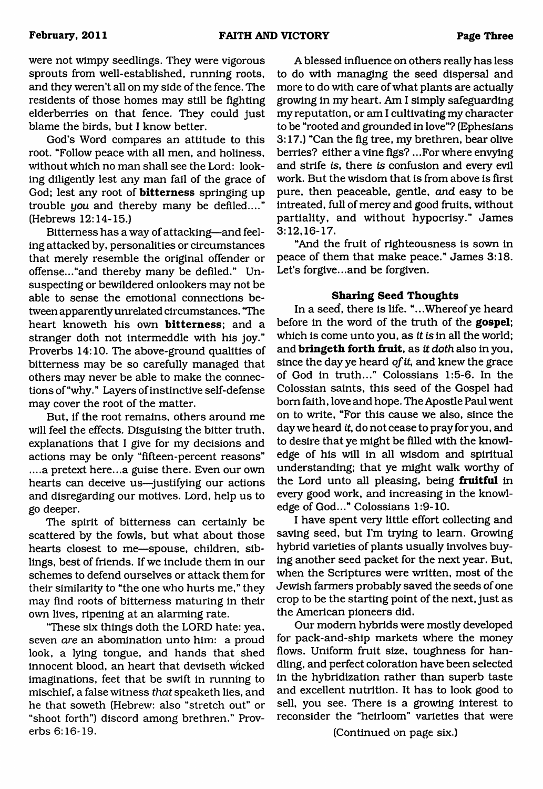were not wimpy seedlings. They were vigorous sprouts from well-established, running roots, and they weren't all on my side of the fence. The residents of those homes may still be fighting elderberries on that fence. They could just blame the birds, but I know better.

God's Word compares an attitude to this root. "Follow peace with all men, and holiness, without which no man shall see the Lord: looking diligently lest any man fail of the grace of God; lest any root of **bitterness** springing up trouble *you* and thereby many be defiled...." (Hebrews 12:14-15.)

Bitterness has a way of attacking—and feeling attacked by, personalities or circumstances that merely resemble the original offender or offense..."and thereby many be defiled." Unsuspecting or bewildered onlookers may not be able to sense the emotional connections between apparently unrelated circumstances. "The heart knoweth his own **bitterness;** and a stranger doth not intermeddle with his joy." Proverbs 14:10. The above-ground qualities of bitterness may be so carefully managed that others may never be able to make the connections of "why." Layers of instinctive self-defense may cover the root of the matter.

But, if the root remains, others around me will feel the effects. Disguising the bitter truth, explanations that I give for my decisions and actions may be only "fifteen-percent reasons" ....a pretext here...a guise there. Even our own hearts can deceive us—justifying our actions and disregarding our motives. Lord, help us to go deeper.

The spirit of bitterness can certainly be scattered by the fowls, but what about those hearts closest to me—spouse, children, siblings, best of friends. If we include them in our schemes to defend ourselves or attack them for their similarity to "the one who hurts me," they may find roots of bitterness maturing in their own lives, ripening at an alarming rate.

'These six things doth the LORD hate: yea, seven *are* an abomination unto him: a proud look, a lying tongue, and hands that shed innocent blood, an heart that deviseth wicked imaginations, feet that be swift in running to mischief, a false witness *that* speaketh lies, and he that soweth (Hebrew: also "stretch out" or "shoot forth") discord among brethren." Proverbs 6:16-19.

A blessed influence on others really has less to do with managing the seed dispersal and more to do with care of what plants are actually growing in my heart. Am I simply safeguarding my reputation, or am I cultivating my character to be "rooted and grounded in love"? (Ephesians 3:17.) "Can the fig tree, my brethren, bear olive berries? either a vine figs? ...For where envying and strife is, there *is* confusion and every evil work. But the wisdom that is from above is first pure, then peaceable, gentle, *and* easy to be intreated, full of mercy and good fruits, without partiality, and without hypocrisy." James 3:12,16-17.

"And the fruit of righteousness is sown in peace of them that make peace." James 3:18. Let's forgive...and be forgiven.

### **Sharing Seed Thoughts**

In a seed, there is life. "...Whereof ye heard before in the word of the truth of the **gospel;** which is come unto you, as *it is* in all the world; and **bringeth forth fruit,** as *it doth* also in you, since the day ye heard *of it,* and knew the grace of God in truth..." Colossians 1:5-6. In the Colossian saints, this seed of the Gospel had bom faith, love and hope. The Apostle Paul went on to write, "For this cause we also, since the day we heard *it,* do not cease to pray for you, and to desire that ye might be filled with the knowledge of his will in all wisdom and spiritual understanding; that ye might walk worthy of the Lord unto all pleasing, being **fruitful** in every good work, and increasing in the knowledge of God..." Colossians 1:9-10.

I have spent very little effort collecting and saving seed, but I'm trying to learn. Growing hybrid varieties of plants usually involves buying another seed packet for the next year. But, when the Scriptures were written, most of the Jewish farmers probably saved the seeds of one crop to be the starting point of the next, just as the American pioneers did.

Our modem hybrids were mostly developed for pack-and-ship markets where the money flows. Uniform fruit size, toughness for handling, and perfect coloration have been selected in the hybridization rather than superb taste and excellent nutrition. It has to look good to sell, you see. There is a growing interest to reconsider the "heirloom" varieties that were

(Continued on page six.)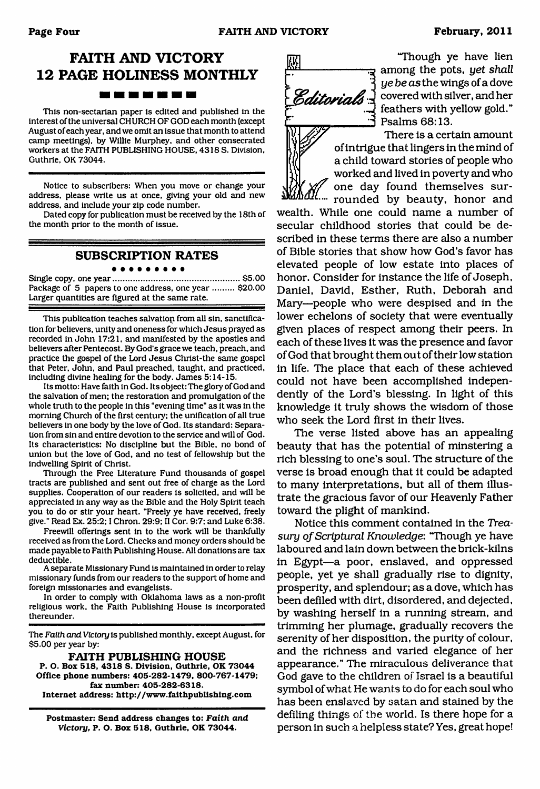## **FAITH AND VICTORY 12 PAGE HOLINESS MONTHLY**

This non-sectarian paper is edited and published in the interest of the universal CHURCH OF GOD each month (except August of each year, and we omit an issue that month to attend camp meetings), by Willie Murphey, and other consecrated workers at the FAITH PUBLISHING HOUSE. 4318 S. Division, Guthrie, OK 73044.

Notice to subscribers: When you move or change your address, please write us at once, giving your old and new address, and include your zip code number.

Dated copy for publication must be received by the 18th of the month prior to the month of issue.

#### **SUBSCRIPTION RATES** . . . . . . . . .

Single copy, one year......................................................\$5.00 Package of 5 papers to one address, one year ......... \$20.00 Larger quantities are figured at the same rate.

This publication teaches salvatiop from all sin, sanctification for believers, unity and oneness for which Jesus prayed as recorded in John 17:21, and manifested by the apostles and believers after Pentecost. By God's grace we teach, preach, and practice the gospel of the Lord Jesus Chrlst-the same gospel that Peter, John, and Paul preached, taught, and practiced, including divine healing for the body. James 5:14-15.

Its motto: Have faith in God. Its object: The glory of God and the salvation of men; the restoration and promulgation of the whole truth to the people in this "evening time" as it was in the morning Church of the first century; the unification of all true believers in one body by the love of God. Its standard: Separation from sin and entire devotion to the service and will of God. Its characteristics: No discipline but the Bible, no bond of union but the love of God. and no test of fellowship but the Indwelling Spirit of Christ.

Through the Free Literature Fund thousands of gospel tracts are published and sent out free of charge as the Lord supplies. Cooperation of our readers is solicited, and will be appreciated in any way as the Bible and the Holy Spirit teach you to do or stir your heart. "Freely ye have received, freely give." Read Ex. 25:2; I Chron. 29:9; II Cor. 9:7; and Luke 6:38.

Freewill offerings sent in to the work will be thankfully received as from the Lord. Checks and money orders should be made payable to Faith Publishing House. All donations are tax deductible.

A separate Missionary Fund is maintained In order to relay missionary funds from our readers to the support of home and foreign missionaries and evangelists.

In order to comply with Oklahoma laws as a non-profit religious work, the Faith Publishing House is incorporated thereunder.

The *Faith and Victory* is published monthly, except August, for \$5.00 per year by:

**FAITH PUBLISHING HOUSE P. O. Box 518, 4318 S. Division, Guthrie, OK 73044 Office phone numbers: 405-282-1479, 800-767-1479; fax number: 405-282-6318. Internet address: <http://www.faithpublishing.com>**

**Postmaster: Send address changes to:** *Faith and Victory,* **P. O. Box 518, Guthrie, OK 73044.**

"Though ye have lien among the pots, *yet shall ye be as* the wings of a dove *Editorials*  $\frac{1}{2}$  covered with silver, and her feathers with yellow gold." *S* Psalms 68:13.

> There is a certain amount of intrigue that lingers in the mind of a child toward stories of people who worked and lived in poverty and who one day found themselves sur-

rounded by beauty, honor and wealth. While one could name a number of secular childhood stories that could be described in these terms there are also a number of Bible stories that show how God's favor has elevated people of low estate into places of honor. Consider for instance the life of Joseph, Daniel, David, Esther, Ruth, Deborah and Mary—people who were despised and in the lower echelons of society that were eventually given places of respect among their peers. In each of these lives it was the presence and favor of God that brought them out of their low station in life. The place that each of these achieved could not have been accomplished independently of the Lord's blessing. In light of this knowledge it truly shows the wisdom of those who seek the Lord first in their lives.

The verse listed above has an appealing beauty that has the potential of minstering a rich blessing to one's soul. The structure of the verse is broad enough that it could be adapted to many interpretations, but all of them illustrate the gracious favor of our Heavenly Father toward the plight of mankind.

Notice this comment contained in the *Treasury of Scriptural Knowledge*: "Though ye have laboured and lain down between the brick-kilns in Egypt—a poor, enslaved, and oppressed people, yet ye shall gradually rise to dignity, prosperity, and splendour; as a dove, which has been defiled with dirt, disordered, and dejected, by washing herself in a running stream, and trimming her plumage, gradually recovers the serenity of her disposition, the purity of colour, and the richness and varied elegance of her appearance." The miraculous deliverance that God gave to the children of Israel is a beautiful symbol of what He wants to do for each soul who has been enslaved by satan and stained by the defiling things of the world. Is there hope for a person in such a helpless state? Yes, great hope!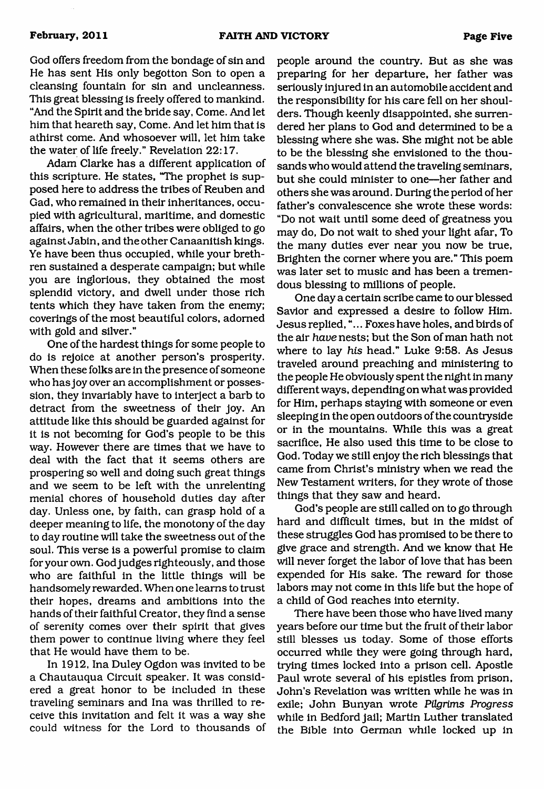God offers freedom from the bondage of sin and He has sent His only begotton Son to open a cleansing fountain for sin and uncleanness. This great blessing is freely offered to mankind. "And the Spirit and the bride say, Come. And let him that heareth say, Come. And let him that is athirst come. And whosoever will, let him take the water of life freely." Revelation 22:17.

Adam Clarke has a different application of this scripture. He states, "The prophet is supposed here to address the tribes of Reuben and Gad, who remained in their inheritances, occupied with agricultural, maritime, and domestic affairs, when the other tribes were obliged to go against Jabin, and the other Canaanitish kings. Ye have been thus occupied, while your brethren sustained a desperate campaign; but while you are inglorious, they obtained the most splendid victory, and dwell under those rich tents which they have taken from the enemy; coverings of the most beautiful colors, adorned with gold and silver."

One of the hardest things for some people to do is rejoice at another person's prosperity. When these folks are in the presence of someone who has joy over an accomplishment or possession, they invariably have to interject a barb to detract from the sweetness of their joy. An attitude like this should be guarded against for it is not becoming for God's people to be this way. However there are times that we have to deal with the fact that it seems others are prospering so well and doing such great things and we seem to be left with the unrelenting menial chores of household duties day after day. Unless one, by faith, can grasp hold of a deeper meaning to life, the monotony of the day to day routine will take the sweetness out of the soul. This verse is a powerful promise to claim for your own. God judges righteously, and those who are faithful in the little things will be handsomely rewarded. When one learns to trust their hopes, dreams and ambitions into the hands of their faithful Creator, they find a sense of serenity comes over their spirit that gives them power to continue living where they feel that He would have them to be.

In 1912, Ina Duley Ogdon was invited to be a Chautauqua Circuit speaker. It was considered a great honor to be included in these traveling seminars and Ina was thrilled to receive this invitation and felt it was a way she could witness for the Lord to thousands of people around the country. But as she was preparing for her departure, her father was seriously injured in an automobile accident and the responsibility for his care fell on her shoulders. Though keenly disappointed, she surrendered her plans to God and determined to be a blessing where she was. She might not be able to be the blessing she envisioned to the thousands who would attend the traveling seminars, but she could minister to one—her father and others she was around. During the period of her father's convalescence she wrote these words: "Do not wait until some deed of greatness you may do, Do not wait to shed your light afar, To the many duties ever near you now be true, Brighten the comer where you are." This poem was later set to music and has been a tremendous blessing to millions of people.

One day a certain scribe came to our blessed Savior and expressed a desire to follow Him. Jesus replied,"... Foxes have holes, and birds of the air *have* nests; but the Son of man hath not where to lay *his* head." Luke 9:58. As Jesus traveled around preaching and ministering to the people He obviously spent the night in many different ways, depending on what was provided for Him, perhaps staying with someone or even sleeping in the open outdoors of the countryside or in the mountains. While this was a great sacrifice, He also used this time to be close to God. Today we still enjoy the rich blessings that came from Christ's ministry when we read the New Testament writers, for they wrote of those things that they saw and heard.

God's people are still called on to go through hard and difficult times, but in the midst of these struggles God has promised to be there to give grace and strength. And we know that He will never forget the labor of love that has been expended for His sake. The reward for those labors may not come in this life but the hope of a child of God reaches into eternity.

There have been those who have lived many years before our time but the fruit of their labor still blesses us today. Some of those efforts occurred while they were going through hard, trying times locked into a prison cell. Apostle Paul wrote several of his epistles from prison, John's Revelation was written while he was in exile; John Bunyan wrote *Pilgrims Progress* while in Bedford jail; Martin Luther translated the Bible into German while locked up in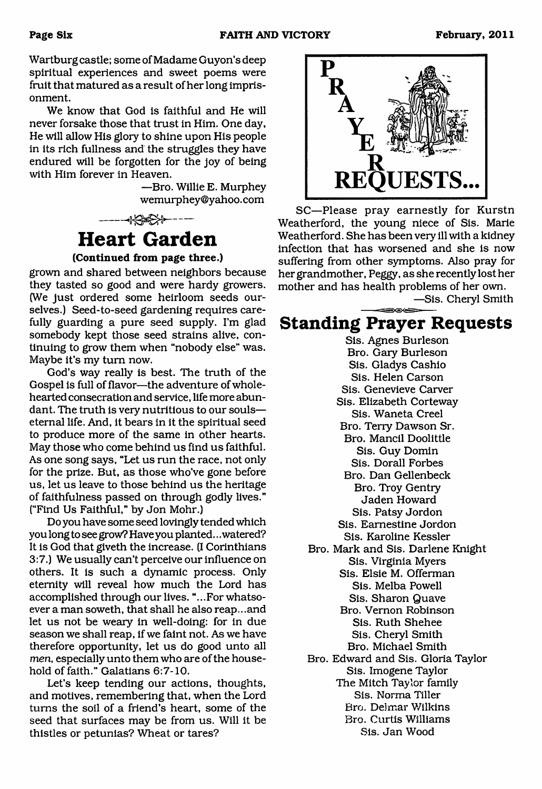Wartburg castle; some of Madame Guyon's deep spiritual experiences and sweet poems were fruit that matured as a result of her long imprisonment.

We know that God is faithful and He will never forsake those that trust in Him. One day, He will allow His glory to shine upon His people in its rich fullness and the struggles they have endured will be forgotten for the joy of being with Him forever in Heaven.

> —Bro. Willie E. Murphey [wemurphey@yahoo.com](mailto:wemurphey@yahoo.com)



## **Heart Garden**

## **(Continued from page three.)**

grown and shared between neighbors because they tasted so good and were hardy growers. (We just ordered some heirloom seeds ourselves.) Seed-to-seed gardening requires carefully guarding a pure seed supply. I'm glad somebody kept those seed strains alive, continuing to grow them when "nobody else" was. Maybe it's my turn now.

God's way really is best. The truth of the Gospel is full of flavor—the adventure of wholehearted consecration and service, life more abundant. The truth is very nutritious to our souls eternal life. And, it bears in it the spiritual seed to produce more of the same in other hearts. May those who come behind us find us faithful. As one song says, "Let us run the race, not only for the prize. But, as those who've gone before us, let us leave to those behind us the heritage of faithfulness passed on through godly lives." ("Find Us Faithful," by Jon Mohr.)

Do you have some seed lovingly tended which you long to see grow? Have you planted.. .watered? It is God that giveth the increase. (I Corinthians 3:7.) We usually can't perceive our influence on others. It is such a dynamic process. Only eternity will reveal how much the Lord has accomplished through our lives. "...For whatsoever a man soweth, that shall he also reap...and let us not be weary in well-doing: for in due season we shall reap, if we faint not. As we have therefore opportunity, let us do good unto all *men,* especially unto them who are of the household of faith." Galatians 6:7-10.

Let's keep tending our actions, thoughts, and motives, remembering that, when the Lord turns the soil of a friend's heart, some of the seed that surfaces may be from us. Will it be thistles or petunias? Wheat or tares?



SC—Please pray earnestly for Kurstn Weatherford, the young niece of Sis. Marie Weatherford. She has been very ill with a kidney infection that has worsened and she is now suffering from other symptoms. Also pray for her grandmother, Peggy, as she recently lost her mother and has health problems of her own.

—Sis. Cheryl Smith

## **Standing Prayer Requests**

Sis. Agnes Burleson Bro. Gary Burleson Sis. Gladys Cashio Sis. Helen Carson Sis. Genevieve Carver Sis. Elizabeth Corteway Sis. Waneta Creel Bro. Terry Dawson Sr. Bro. Mancil Doolittle Sis. Guy Domin Sis. Dorall Forbes Bro. Dan Gellenbeck Bro. Troy Gentry Jaden Howard Sis. Patsy Jordon Sis. Eamestine Jordon Sis. Karoline Kessler Bro. Mark and Sis. Darlene Knight Sis. Virginia Myers Sis. Elsie M. Offerman Sis. Melba Powell Sis. Sharon Quave Bro. Vernon Robinson Sis. Ruth Shehee Sis. Cheryl Smith Bro. Michael Smith Bro. Edward and Sis. Gloria Taylor Sis. Imogene Taylor The Mitch Taylor family Sis. Norma Tiller Bro. Delmar Wilkins Bro. Curtis Williams Sis. Jan Wood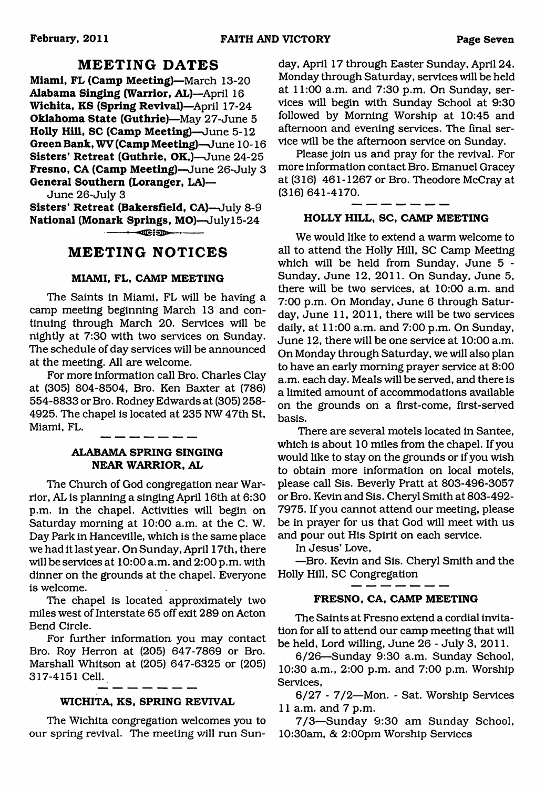## **MEETING DATES**

**Miami, FL (Camp Meeting)**—March 13-20 **Alabama Singing (Warrior, AL)—**April 16 **Wichita, KS (Spring Revival)**—April 17-24 **Oklahoma State (Guthrie)**—May 27-June 5 **Holly Hill, SC (Camp Meeting)**—June 5-12 **Green Bank, WV (Camp Meeting)**—June 10-16 Sisters' Retreat (Guthrie, OK,)—June 24-25 **Fresno, CA (Camp Meeting)—**June 26-July 3 **General Southern (Loranger, LA)—**

June 26-July 3

**Sisters' Retreat (Bakersfield, CA)**—July 8-9 **National (Monark Springs, MO)**—July 15-24

 $\blacksquare$ 

## **MEETING NOTICES**

### **MIAMI, FL, CAMP MEETING**

The Saints in Miami, FL will be having a camp meeting beginning March 13 and continuing through March 20. Services will be nightly at 7:30 with two services on Sunday. The schedule of day services will be announced at the meeting. All are welcome.

For more information call Bro. Charles Clay at (305) 804-8504, Bro. Ken Baxter at (786) 554-8833 or Bro. Rodney Edwards at (305) 258- 4925. The chapel is located at 235 NW 47th St, Miami, FL.

## **ALABAMA SPRING SINGING NEAR WARRIOR, AL**

The Church of God congregation near Warrior, AL is planning a singing April 16th at 6:30 p.m. in the chapel. Activities will begin on Saturday morning at 10:00 a.m. at the C. W. Day Park in Hanceville, which is the same place we had it last year. On Sunday, April 17th, there will be services at 10:00 a.m. and 2:00 p.m. with dinner on the grounds at the chapel. Everyone is welcome.

The chapel is located approximately two miles west of Interstate 65 off exit 289 on Acton Bend Circle.

For further information you may contact Bro. Roy Herron at (205) 647-7869 or Bro. Marshall Whitson at (205) 647-6325 or (205) 317-4151 Cell.

## **WICHITA, KS, SPRING REVIVAL**

The Wichita congregation welcomes you to our spring revival. The meeting will run Sunday, April 17 through Easter Sunday, April 24. Monday through Saturday, services will be held at 11:00 a.m. and 7:30 p.m. On Sunday, services will begin with Sunday School at 9:30 followed by Morning Worship at 10:45 and afternoon and evening services. The final service will be the afternoon service on Sunday.

Please join us and pray for the revival. For more information contact Bro. Emanuel Gracey at (316) 461-1267 or Bro. Theodore McCray at (316) 641-4170.

### **HOLLY HILL, SC, CAMP MEETING**

We would like to extend a warm welcome to all to attend the Holly Hill, SC Camp Meeting which will be held from Sunday, June 5 - Sunday, June 12, 2011. On Sunday, June 5, there will be two services, at 10:00 a.m. and 7:00 p.m. On Monday, June 6 through Saturday, June 11, 2011, there will be two services daily, at 11:00 a.m. and 7:00 p.m. On Sunday, June 12, there will be one service at 10:00 a.m. On Monday through Saturday, we will also plan to have an early morning prayer service at 8:00 a.m. each day. Meals will be served, and there is a limited amount of accommodations available on the grounds on a first-come, first-served basis.

There are several motels located in Santee, which is about 10 miles from the chapel. If you would like to stay on the grounds or if you wish to obtain more information on local motels, please call Sis. Beverly Pratt at 803-496-3057 or Bro. Kevin and Sis. Cheryl Smith at 803-492- 7975. If you cannot attend our meeting, please be in prayer for us that God will meet with us and pour out His Spirit on each service.

In Jesus' Love,

—Bro. Kevin and Sis. Cheryl Smith and the Holly Hill, SC Congregation

## **FRESNO, CA, CAMP MEETING**

The Saints at Fresno extend a cordial invitation for all to attend our camp meeting that will be held, Lord willing, June 26 - July 3, 2011.

6/26—Sunday 9:30 a.m. Sunday School, 10:30 a.m., 2:00 p.m. and 7:00 p.m. Worship Services,

6/27 - 7/2—Mon. - Sat. Worship Services 11 a.m. and 7 p.m.

7/3—Sunday 9:30 am Sunday School, 10:30am, & 2:00pm Worship Services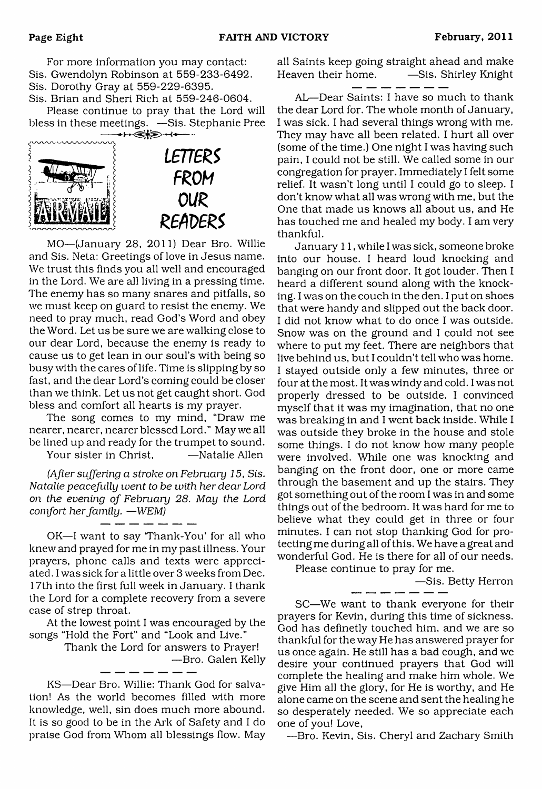For more information you may contact: Sis. Gwendolyn Robinson at 559-233-6492. Sis. Dorothy Gray at 559-229-6395.

Sis. Brian and Sheri Rich at 559-246-0604.

Please continue to pray that the Lord will bless in these meetings. —Sis. Stephanie Pree



MO—(January 28, 2011) Dear Bro. Willie and Sis. Neta: Greetings of love in Jesus name. We trust this finds you all well and encouraged in the Lord. We are all living in a pressing time. The enemy has so many snares and pitfalls, so we must keep on guard to resist the enemy. We need to pray much, read God's Word and obey the Word. Let us be sure we are walking close to our dear Lord, because the enemy is ready to cause us to get lean in our soul's with being so busy with the cares of life. Time is slipping by so fast, and the dear Lord's coming could be closer than we think. Let us not get caught short. God bless and comfort all hearts is my prayer.

The song comes to my mind, "Draw me nearer, nearer, nearer blessed Lord." May we all be lined up and ready for the trumpet to sound.

Your sister in Christ, Tangleright —Natalie Allen

*(After suffering a stroke on February 15, Sis. Natalie peacefully went to be with her dear Lord on the evening of February 28. May the Lord comfort her family.* — *WEM)*

OK—I want to say Thank-You' for all who knew and prayed for me in my past illness. Your prayers, phone calls and texts were appreciated . I was sick for a little over 3 weeks from Dec. 17th into the first full week in January. I thank the Lord for a complete recovery from a severe case of strep throat.

At the lowest point I was encouraged by the songs "Hold the Fort" and "Look and Live."

Thank the Lord for answers to Prayer!

—Bro. Galen Kelly

KS—Dear Bro. Willie: Thank God for salvation! As the world becomes filled with more knowledge, well, sin does much more abound. It is so good to be in the Ark of Safety and I do praise God from Whom all blessings flow. May

all Saints keep going straight ahead and make Heaven their home. —Sis. Shirley Knight

AL—Dear Saints: I have so much to thank the dear Lord for. The whole month of January, I was sick. I had several things wrong with me. They may have all been related. I hurt all over (some of the time.) One night I was having such pain, I could not be still. We called some in our congregation for prayer. Immediately I felt some relief. It wasn't long until I could go to sleep. I don't know what all was wrong with me, but the One that made us knows all about us, and He has touched me and healed my body. I am very thankful.

January 11, while I was sick, someone broke into our house. I heard loud knocking and banging on our front door. It got louder. Then I heard a different sound along with the knocking. I was on the couch in the den. I put on shoes that were handy and slipped out the back door. I did not know what to do once I was outside. Snow was on the ground and I could not see where to put my feet. There are neighbors that live behind us, but I couldn't tell who was home. I stayed outside only a few minutes, three or four at the most. It was windy and cold. I was not properly dressed to be outside. I convinced myself that it was my imagination, that no one was breaking in and I went back inside. While I was outside they broke in the house and stole some things. I do not know how many people were involved. While one was knocking and banging on the front door, one or more came through the basement and up the stairs. They got something out of the room I was in and some things out of the bedroom. It was hard for me to believe what they could get in three or four minutes. I can not stop thanking God for protecting me during all of this. We have a great and wonderful God. He is there for all of our needs.

Please continue to pray for me.

 $-$ Sis. Betty Herron

SC—We want to thank everyone for their prayers for Kevin, during this time of sickness. God has definetly touched him, and we are so thankful for the way He has answered prayer for us once again. He still has a bad cough, and we desire your continued prayers that God will complete the healing and make him whole. We give Him all the glory, for He is worthy, and He alone came on the scene and sent the healing he so desperately needed. We so appreciate each one of you! Love,

—Bro. Kevin, Sis. Cheryl and Zachary Smith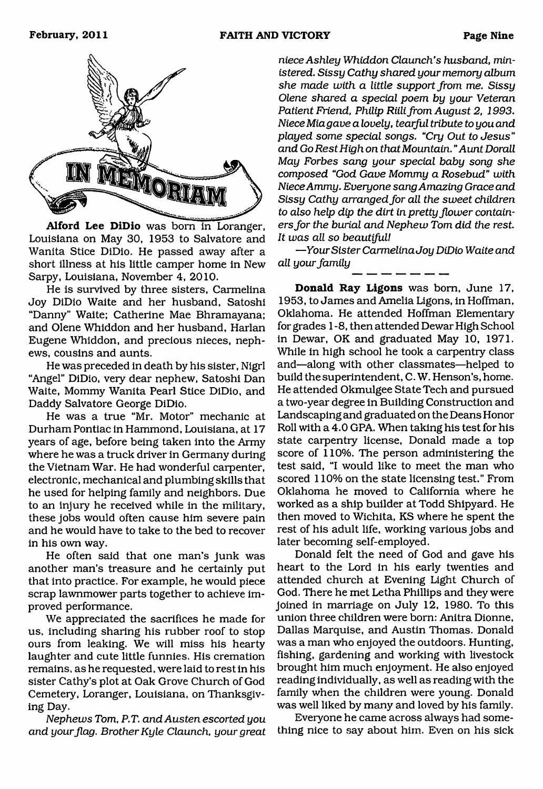

**Alford Lee DiDio** was born in Loranger, Louisiana on May 30, 1953 to Salvatore and Wanita Stice DiDio. He passed away after a short illness at his little camper home in New Sarpy, Louisiana, November 4, 2010.

He is survived by three sisters, Carmelina Joy DiDio Waite and her husband, Satoshi "Danny" Waite; Catherine Mae Bhramayana; and Olene Whiddon and her husband, Harlan Eugene Whiddon, and precious nieces, nephews, cousins and aunts.

He was preceded in death by his sister, Nigrl "Angel" DiDio, very dear nephew, Satoshi Dan Waite, Mommy Wanita Pearl Stice DiDio, and Daddy Salvatore George DiDio.

He was a true "Mr. Motor" mechanic at Durham Pontiac in Hammond, Louisiana, at 17 years of age, before being taken into the Army where he was a truck driver in Germany during the Vietnam War. He had wonderful carpenter, electronic, mechanical and plumbing skills that he used for helping family and neighbors. Due to an injury he received while in the military, these jobs would often cause him severe pain and he would have to take to the bed to recover in his own way.

He often said that one man's junk was another man's treasure and he certainly put that into practice. For example, he would piece scrap lawnmower parts together to achieve improved performance.

We appreciated the sacrifices he made for us, including sharing his rubber roof to stop ours from leaking. We will miss his hearty laughter and cute little funnies. His cremation remains, as he requested, were laid to rest in his sister Cathy's plot at Oak Grove Church of God Cemetery, Loranger, Louisiana, on Thanksgiving Day.

*Nephews Tom, P.T. and Austen escorted you and your flag. Brother Kyle Claunch, your great*

*niece Ashley Whiddon Claunch's husband, ministered. Sissy Cathy shared your memory album she made with a little support from me. Sissy Olene shared a special poem by your Veteran* Patient Friend, Philip Riili from August 2, 1993. *Niece Miagave a lovely, tearful tribute to you and played some special songs. uCry Out to Jesus" and Go Rest High on that Mountain. "Aunt Dorall May Forbes sang your special baby song she composed "God Gave Mommy a Rosebud" with Niece Ammy. Everyone sang Amazing Grace and Sissy Cathy arranged fo r all the sweet children to also help dip the dirt in pretty flower contain*ers for the burial and Nephew Tom did the rest. *It was all so beautiful!*

*—Your Sister CarmelinaJoy DiDio Waite and all your family*

**Donald Ray Ligons** was born, June 17, 1953, to James and Amelia Ligons, in Hoffman, Oklahoma. He attended Hoffman Elementary for grades 1 -8, then attended Dewar High School in Dewar, OK and graduated May 10, 1971. While in high school he took a carpentry class and—along with other classmates—helped to build the superintendent, C. W. Henson's, home. He attended Okmulgee State Tech and pursued a two-year degree in Building Construction and Landscaping and graduated on the Deans Honor Roll with a 4.0 GPA. When taking his test for his state carpentry license, Donald made a top score of 110%. The person administering the test said, "I would like to meet the man who scored 110% on the state licensing test." From Oklahoma he moved to California where he worked as a ship builder at Todd Shipyard. He then moved to Wichita, KS where he spent the rest of his adult life, working various jobs and later becoming self-employed.

Donald felt the need of God and gave his heart to the Lord in his early twenties and attended church at Evening Light Church of God. There he met Letha Phillips and they were joined in marriage on July 12, 1980. To this union three children were born: Anitra Dionne, Dallas Marquise, and Austin Thomas. Donald was a man who enjoyed the outdoors. Hunting, fishing, gardening and working with livestock brought him much enjoyment. He also enjoyed reading individually, as well as reading with the family when the children were young. Donald was well liked by many and loved by his family.

Everyone he came across always had something nice to say about him. Even on his sick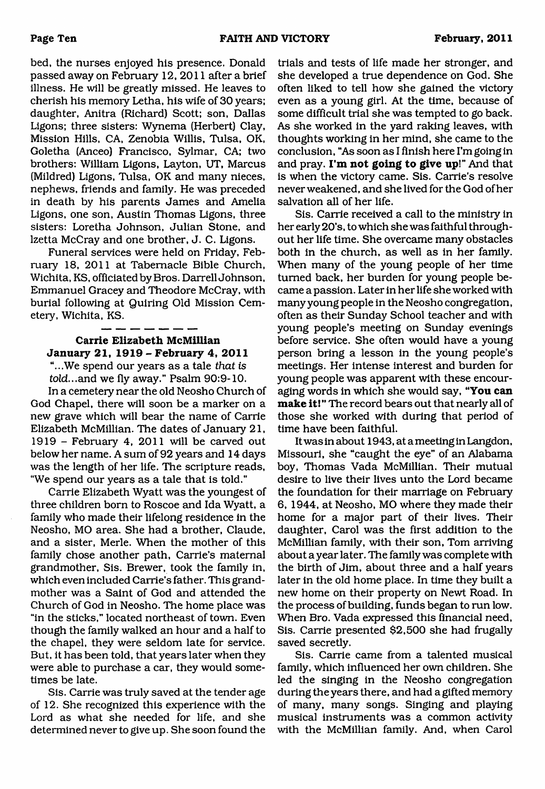bed, the nurses enjoyed his presence. Donald passed away on February 12, 2011 after a brief illness. He will be greatly missed. He leaves to cherish his memory Letha, his wife of 30 years; daughter, Anitra (Richard) Scott; son, Dallas Ligons; three sisters: Wynema (Herbert) Clay, Mission Hills, CA, Zenobia Willis, Tulsa, OK, Goletha (Anceo) Francisco, Sylmar, CA; two brothers: William Ligons, Layton, UT, Marcus (Mildred) Ligons, Tulsa, OK and many nieces, nephews, friends and family. He was preceded in death by his parents James and Amelia Ligons, one son, Austin Thomas Ligons, three sisters: Loretha Johnson, Julian Stone, and lzetta McCray and one brother, J. C. Ligons.

Funeral services were held on Friday, February 18, 2011 at Tabernacle Bible Church, Wichita, KS, officiated by Bros. Darrell Johnson, Emmanuel Gracey and Theodore McCray, with burial following at Quiring Old Mission Cemetery, Wichita, KS.

## **Carrie Elizabeth McMillian January 21, 1919 - February 4, 2011**

"...We spend our years as a tale *that is told*...and we fly away." Psalm 90:9-10.

In a cemetery near the old Neosho Church of God Chapel, there will soon be a marker on a new grave which will bear the name of Carrie Elizabeth McMillian. The dates of January 21, 1919 - February 4, 2011 will be carved out below her name. A sum of 92 years and 14 days was the length of her life. The scripture reads, "We spend our years as a tale that is told."

Carrie Elizabeth Wyatt was the youngest of three children born to Roscoe and Ida Wyatt, a family who made their lifelong residence in the Neosho, MO area. She had a brother, Claude, and a sister, Merle. When the mother of this family chose another path, Carrie's maternal grandmother, Sis. Brewer, took the family in, which even included Carrie's father. This grandmother was a Saint of God and attended the Church of God in Neosho. The home place was "in the sticks," located northeast of town. Even though the family walked an hour and a half to the chapel, they were seldom late for service. But, it has been told, that years later when they were able to purchase a car, they would sometimes be late.

Sis. Carrie was truly saved at the tender age of 12. She recognized this experience with the Lord as what she needed for life, and she determined never to give up. She soon found the

trials and tests of life made her stronger, and she developed a true dependence on God. She often liked to tell how she gained the victory even as a young girl. At the time, because of some difficult trial she was tempted to go back. As she worked in the yard raking leaves, with thoughts working in her mind, she came to the conclusion, "As soon as I finish here I'm going in and pray. **I'm not going to give up!"** And that is when the victory came. Sis. Carrie's resolve never weakened, and she lived for the God of her salvation all of her life.

Sis. Carrie received a call to the ministry in her early 20's, to which she was faithful throughout her life time. She overcame many obstacles both in the church, as well as in her family. When many of the young people of her time turned back, her burden for young people became a passion. Later in her life she worked with many young people in the Neosho congregation, often as their Sunday School teacher and with young people's meeting on Sunday evenings before service. She often would have a young person bring a lesson in the young people's meetings. Her intense interest and burden for young people was apparent with these encouraging words in which she would say, **"You can make it!** " The record bears out that nearly all of those she worked with during that period of time have been faithful.

It was in about 1943, at a meeting in Langdon, Missouri, she "caught the eye" of an Alabama boy, Thomas Vada McMillian. Their mutual desire to live their lives unto the Lord became the foundation for their marriage on February 6, 1944, at Neosho, MO where they made their home for a major part of their lives. Their daughter, Carol was the first addition to the McMillian family, with their son, Tom arriving about a year later. The family was complete with the birth of Jim, about three and a half years later in the old home place. In time they built a new home on their property on Newt Road. In the process of building, funds began to run low. When Bro. Vada expressed this financial need, Sis. Carrie presented \$2,500 she had frugally saved secretly.

Sis. Carrie came from a talented musical family, which influenced her own children. She led the singing in the Neosho congregation during the years there, and had a gifted memory of many, many songs. Singing and playing musical instruments was a common activity with the McMillian family. And, when Carol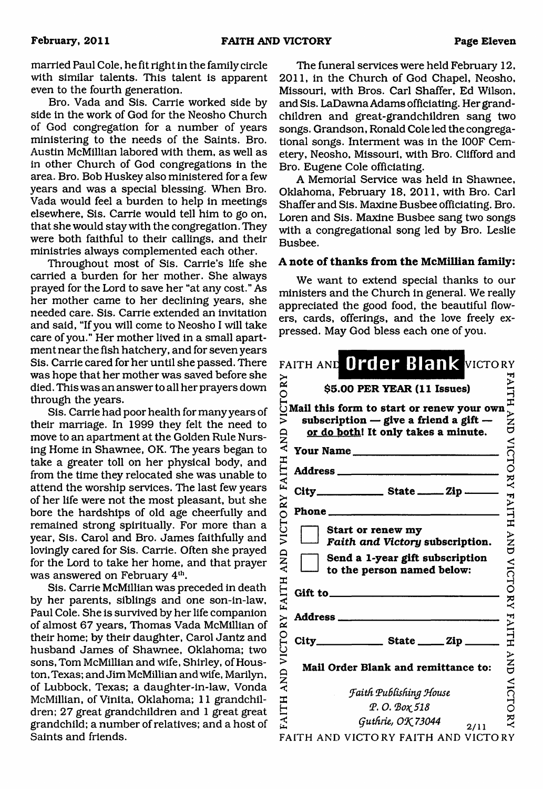married Paul Cole, he fit right in the family circle with similar talents. This talent is apparent even to the fourth generation.

Bro. Vada and Sis. Carrie worked side by side in the work of God for the Neosho Church of God congregation for a number of years ministering to the needs of the Saints. Bro. Austin McMillian labored with them, as well as in other Church of God congregations in the area. Bro. Bob Huskey also ministered for a few years and was a special blessing. When Bro. Vada would feel a burden to help in meetings elsewhere, Sis. Carrie would tell him to go on, that she would stay with the congregation. They were both faithful to their callings, and their ministries always complemented each other.

Throughout most of Sis. Carrie's life she carried a burden for her mother. She always prayed for the Lord to save her "at any cost." As her mother came to her declining years, she needed care. Sis. Carrie extended an invitation and said, "If you will come to Neosho I will take care of you." Her mother lived in a small apartment near the fish hatchery, and for seven years Sis. Carrie cared for her until she passed. There was hope that her mother was saved before she died. This was an answer to all her prayers down through the years.

Sis. Carrie had poor health for many years of their marriage. In 1999 they felt the need to move to an apartment at the Golden Rule Nursing Home in Shawnee, OK. The years began to take a greater toll on her physical body, and from the time they relocated she was unable to attend the worship services. The last few years of her life were not the most pleasant, but she bore the hardships of old age cheerfully and remained strong spiritually. For more than a year, Sis. Carol and Bro. James faithfully and lovingly cared for Sis. Carrie. Often she prayed for the Lord to take her home, and that prayer was answered on February 4<sup>th</sup>.

Sis. Carrie McMillian was preceded in death by her parents, siblings and one son-in-law, Paul Cole. She is survived by her life companion of almost 67 years, Thomas Vada McMillian of their home; by their daughter, Carol Jantz and husband James of Shawnee, Oklahoma; two sons, Tom McMillian and wife, Shirley, of Houston, Texas; and Jim McMillian and wife, Marilyn, of Lubbock, Texas; a daughter-in-law, Vonda McMillian, of Vinita, Oklahoma; 11 grandchildren; 27 great grandchildren and 1 great great grandchild; a number of relatives; and a host of Saints and friends.

The funeral services were held February 12, 2011, in the Church of God Chapel, Neosho, Missouri, with Bros. Carl Shaffer, Ed Wilson, and Sis. LaDawna Adams officiating. Her grandchildren and great-grandchildren sang two songs. Grandson, Ronald Cole led the congregational songs. Interment was in the I00F Cemetery, Neosho, Missouri, with Bro. Clifford and Bro. Eugene Cole officiating.

A Memorial Service was held in Shawnee, Oklahoma, February 18, 2011, with Bro. Carl Shaffer and Sis. Maxine Busbee officiating. Bro. Loren and Sis. Maxine Busbee sang two songs with a congregational song led by Bro. Leslie Busbee.

## **A note of thanks from the McMillian family:**

We want to extend special thanks to our ministers and the Church in general. We really appreciated the good food, the beautiful flowers, cards, offerings, and the love freely expressed. May God bless each one of you.

|                    | FAITH AND Order Blank VICTORY                                                                                                 |                                 |
|--------------------|-------------------------------------------------------------------------------------------------------------------------------|---------------------------------|
|                    | \$5.00 PER YEAR (11 Issues)                                                                                                   | FAILH                           |
| VICTORY            | Mail this form to start or renew your own<br>subscription $-$ give a friend a gift $-$<br>or do both! It only takes a minute. | –<br>NNP<br>O                   |
|                    | Your Name                                                                                                                     |                                 |
|                    |                                                                                                                               |                                 |
|                    | City_________________________ State __________ Zip _______                                                                    |                                 |
|                    | Phone                                                                                                                         |                                 |
| VICTORY FAITH AND  | Start or renew my<br>Faith and Victory subscription.                                                                          | NICTORY FAITH AND VICTORY FAITH |
| <b>AND</b>         | Send a 1-year gift subscription<br>to the person named below:                                                                 |                                 |
| <b>FAITH</b>       |                                                                                                                               |                                 |
|                    | Address ____                                                                                                                  |                                 |
|                    | $City$ State $\_\_$ Zip                                                                                                       |                                 |
| <b>AND VICTORY</b> | Mail Order Blank and remittance to:                                                                                           | HNP                             |
|                    | Faith Publishing House                                                                                                        | <b>VICTO</b>                    |
| FAITH              | P.O. Βοχ 518                                                                                                                  |                                 |
|                    | Guthrie, OK 73044<br>2/11                                                                                                     | $\check{\texttt{x}}$            |
|                    | FAITH AND VICTORY FAITH AND VICTORY                                                                                           |                                 |